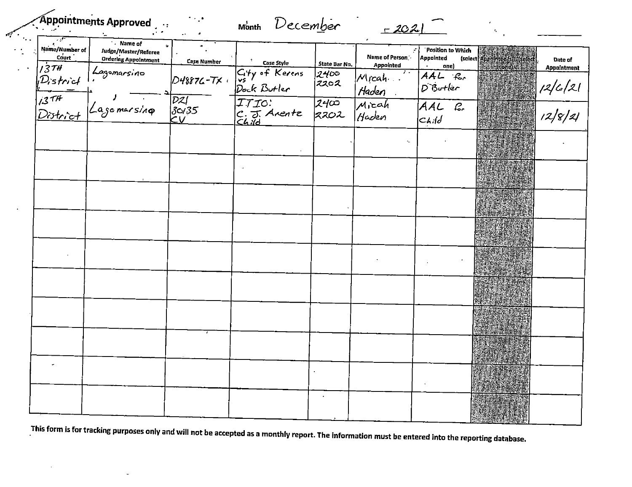|  | Appointments Approved | $\cdot$ : |  |
|--|-----------------------|-----------|--|
|  |                       |           |  |
|  |                       |           |  |

## Month December - 2021

 $\mathcal{A}$ 

 $\frac{1}{2} \frac{1}{2}$ 

| Name/Number of<br>$\mathsf{C}^\prime_\mathsf{out}$ . | . Name of<br>$\omega$<br>Judge/Master/Referee                                 |                                                                                               |                                |                           | Name of Person   | Position to Which<br><b>Appointed</b> |                                                                 |                               |
|------------------------------------------------------|-------------------------------------------------------------------------------|-----------------------------------------------------------------------------------------------|--------------------------------|---------------------------|------------------|---------------------------------------|-----------------------------------------------------------------|-------------------------------|
|                                                      | <b>Ordering Appointment</b>                                                   | Case Number                                                                                   | Case Style                     | State Bar No.             | <b>Appointed</b> | one)                                  | (select Appointee /s & (select)<br><b>Restrong Advised Fig.</b> | Date of<br><b>Appointment</b> |
|                                                      |                                                                               | <b>D48876-7X</b> +                                                                            | City of Kerens<br>Dock Butler  | 2400<br>2202              | Mrcah.<br>Haden  | A A L R<br>DiButler                   |                                                                 |                               |
|                                                      | count<br>1374 Lagomarsino<br>District<br>1374 Jagomarsino<br>1374 Jagomarsino | $\overline{)}$<br>$\overline{)}$ $\overline{3}$ $\overline{0}/35$<br>$\overline{0}/\sqrt{35}$ | ITIO:<br>C. J. Arente<br>Child | $\overline{2400}$<br>2202 | Micah<br>Haden   | AAL B.<br>$c$ <i>kild</i>             |                                                                 | $\frac{12}{c}$<br>12/8/21     |
|                                                      |                                                                               |                                                                                               |                                |                           | ÷                |                                       |                                                                 |                               |
|                                                      |                                                                               |                                                                                               |                                |                           |                  |                                       |                                                                 |                               |
|                                                      |                                                                               |                                                                                               |                                |                           |                  |                                       |                                                                 |                               |
|                                                      |                                                                               |                                                                                               |                                |                           |                  |                                       |                                                                 |                               |
|                                                      |                                                                               |                                                                                               |                                |                           |                  |                                       |                                                                 |                               |
|                                                      |                                                                               |                                                                                               |                                |                           |                  |                                       |                                                                 |                               |
|                                                      |                                                                               |                                                                                               |                                |                           |                  |                                       |                                                                 |                               |
|                                                      |                                                                               |                                                                                               |                                |                           |                  |                                       |                                                                 |                               |
|                                                      |                                                                               |                                                                                               |                                |                           |                  |                                       |                                                                 |                               |
|                                                      |                                                                               |                                                                                               |                                |                           |                  |                                       |                                                                 |                               |

This form is for tracking purposes only and will not be accepted as a monthly report. The information must be entered into the reporting database.